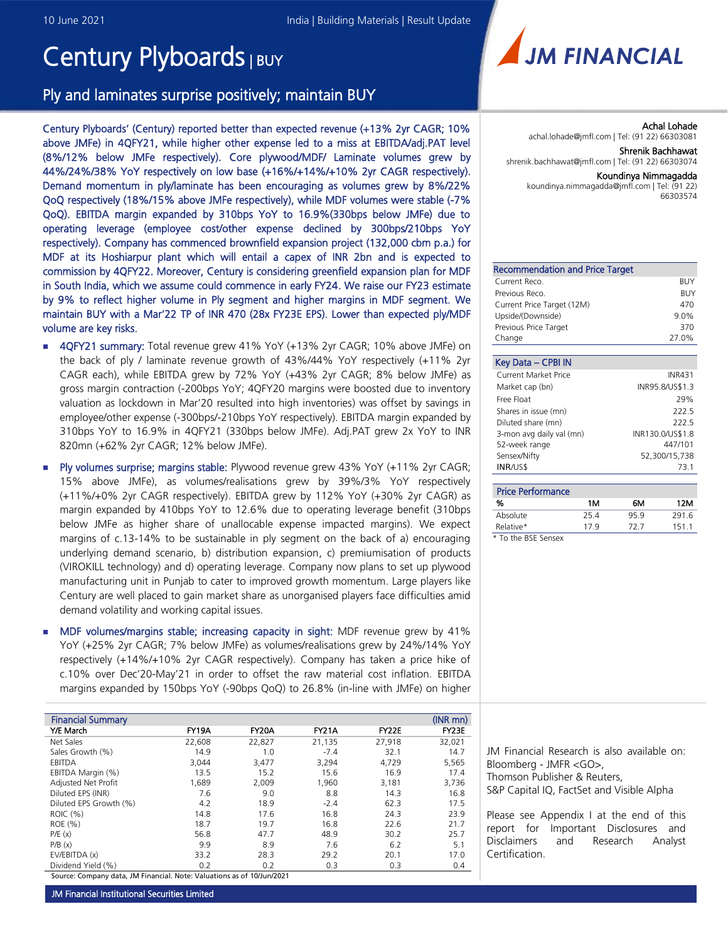# Century Plyboards | BUY

## Ply and laminates surprise positively; maintain BUY

Century Plyboards' (Century) reported better than expected revenue (+13% 2yr CAGR; 10% above JMFe) in 4QFY21, while higher other expense led to a miss at EBITDA/adj.PAT level (8%/12% below JMFe respectively). Core plywood/MDF/ Laminate volumes grew by 44%/24%/38% YoY respectively on low base (+16%/+14%/+10% 2yr CAGR respectively). Demand momentum in ply/laminate has been encouraging as volumes grew by 8%/22% QoQ respectively (18%/15% above JMFe respectively), while MDF volumes were stable (-7% QoQ). EBITDA margin expanded by 310bps YoY to 16.9%(330bps below JMFe) due to operating leverage (employee cost/other expense declined by 300bps/210bps YoY respectively). Company has commenced brownfield expansion project (132,000 cbm p.a.) for MDF at its Hoshiarpur plant which will entail a capex of INR 2bn and is expected to commission by 4QFY22. Moreover, Century is considering greenfield expansion plan for MDF in South India, which we assume could commence in early FY24. We raise our FY23 estimate by 9% to reflect higher volume in Ply segment and higher margins in MDF segment. We maintain BUY with a Mar'22 TP of INR 470 (28x FY23E EPS). Lower than expected ply/MDF volume are key risks.

- 4QFY21 summary: Total revenue grew 41% YoY (+13% 2yr CAGR; 10% above JMFe) on the back of ply / laminate revenue growth of 43%/44% YoY respectively (+11% 2yr CAGR each), while EBITDA grew by 72% YoY (+43% 2yr CAGR; 8% below JMFe) as gross margin contraction (-200bps YoY; 4QFY20 margins were boosted due to inventory valuation as lockdown in Mar'20 resulted into high inventories) was offset by savings in employee/other expense (-300bps/-210bps YoY respectively). EBITDA margin expanded by 310bps YoY to 16.9% in 4QFY21 (330bps below JMFe). Adj.PAT grew 2x YoY to INR 820mn (+62% 2yr CAGR; 12% below JMFe).
- Ply volumes surprise; margins stable: Plywood revenue grew 43% YoY (+11% 2yr CAGR; 15% above JMFe), as volumes/realisations grew by 39%/3% YoY respectively (+11%/+0% 2yr CAGR respectively). EBITDA grew by 112% YoY (+30% 2yr CAGR) as margin expanded by 410bps YoY to 12.6% due to operating leverage benefit (310bps below JMFe as higher share of unallocable expense impacted margins). We expect margins of c.13-14% to be sustainable in ply segment on the back of a) encouraging underlying demand scenario, b) distribution expansion, c) premiumisation of products (VIROKILL technology) and d) operating leverage. Company now plans to set up plywood manufacturing unit in Punjab to cater to improved growth momentum. Large players like Century are well placed to gain market share as unorganised players face difficulties amid demand volatility and working capital issues.
- MDF volumes/margins stable; increasing capacity in sight: MDF revenue grew by 41% YoY (+25% 2yr CAGR; 7% below JMFe) as volumes/realisations grew by 24%/14% YoY respectively (+14%/+10% 2yr CAGR respectively). Company has taken a price hike of c.10% over Dec'20-May'21 in order to offset the raw material cost inflation. EBITDA margins expanded by 150bps YoY (-90bps QoQ) to 26.8% (in-line with JMFe) on higher

| <b>Financial Summary</b> |        |        |              |              | $(NR$ mn $)$ |
|--------------------------|--------|--------|--------------|--------------|--------------|
| Y/E March                | FY19A  | FY20A  | <b>FY21A</b> | <b>FY22E</b> | FY23E        |
| Net Sales                | 22,608 | 22,827 | 21,135       | 27,918       | 32,021       |
| Sales Growth (%)         | 14.9   | 1.0    | $-7.4$       | 32.1         | 14.7         |
| <b>EBITDA</b>            | 3,044  | 3,477  | 3,294        | 4,729        | 5,565        |
| EBITDA Margin (%)        | 13.5   | 15.2   | 15.6         | 16.9         | 17.4         |
| Adjusted Net Profit      | 1,689  | 2,009  | 1,960        | 3,181        | 3,736        |
| Diluted EPS (INR)        | 7.6    | 9.0    | 8.8          | 14.3         | 16.8         |
| Diluted EPS Growth (%)   | 4.2    | 18.9   | $-2.4$       | 62.3         | 17.5         |
| ROIC (%)                 | 14.8   | 17.6   | 16.8         | 24.3         | 23.9         |
| ROE (%)                  | 18.7   | 19.7   | 16.8         | 22.6         | 21.7         |
| P/E(x)                   | 56.8   | 47.7   | 48.9         | 30.2         | 25.7         |
| P/B(x)                   | 9.9    | 8.9    | 7.6          | 6.2          | 5.1          |
| EV/EBITDA (x)            | 33.2   | 28.3   | 29.2         | 20.1         | 17.0         |
| Dividend Yield (%)       | 0.2    | 0.2    | 0.3          | 0.3          | 0.4          |

Source: Company data, JM Financial. Note: Valuations as of 10/Jun/2021



Achal Lohade achal.lohade@jmfl.com | Tel: (91 22) 66303081 Shrenik Bachhawat

shrenik.bachhawat@jmfl.com | Tel: (91 22) 66303074

#### Koundinya Nimmagadda

koundinya.nimmagadda@jmfl.com | Tel: (91 22) 66303574

| <b>Recommendation and Price Target</b> |            |
|----------------------------------------|------------|
| Current Reco.                          | <b>BUY</b> |
| Previous Reco.                         | <b>BUY</b> |
| Current Price Target (12M)             | 470        |
| Upside/(Downside)                      | 9.0%       |
| Previous Price Target                  | 370        |
| Change                                 | 27.0%      |

| Key Data - CPBI IN       |                  |
|--------------------------|------------------|
| Current Market Price     | <b>INR431</b>    |
| Market cap (bn)          | INR95.8/US\$1.3  |
| Free Float               | 29%              |
| Shares in issue (mn)     | 222.5            |
| Diluted share (mn)       | 222.5            |
| 3-mon avg daily val (mn) | INR130.0/US\$1.8 |
| 52-week range            | 447/101          |
| Sensex/Nifty             | 52,300/15,738    |
| <b>INR/USS</b>           | 73.1             |

#### Price Performance % 1M 6M 12M Absolute 25.4 95.9 291.6 Relative\* 17.9 72.7 151.1

*\* To the BSE Sensex*

JM Financial Research is also available on: Bloomberg - JMFR <GO>, Thomson Publisher & Reuters, S&P Capital IQ, FactSet and Visible Alpha

Please see Appendix I at the end of this report for Important Disclosures and Disclaimers and Research Analyst Certification.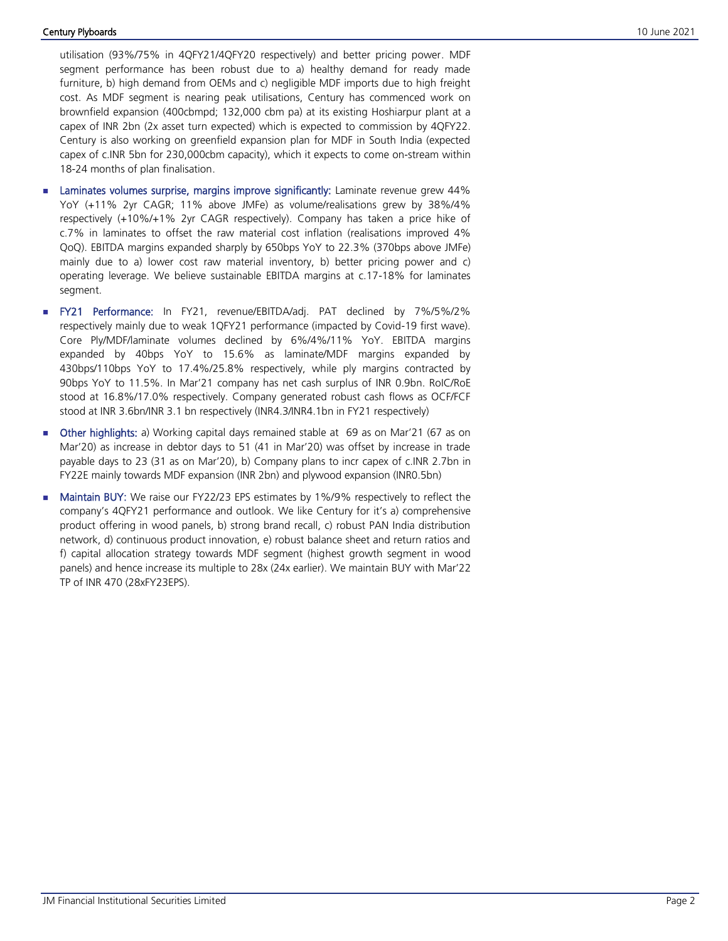#### Century Plyboards 10 June 2021

utilisation (93%/75% in 4QFY21/4QFY20 respectively) and better pricing power. MDF segment performance has been robust due to a) healthy demand for ready made furniture, b) high demand from OEMs and c) negligible MDF imports due to high freight cost. As MDF segment is nearing peak utilisations, Century has commenced work on brownfield expansion (400cbmpd; 132,000 cbm pa) at its existing Hoshiarpur plant at a capex of INR 2bn (2x asset turn expected) which is expected to commission by 4QFY22. Century is also working on greenfield expansion plan for MDF in South India (expected capex of c.INR 5bn for 230,000cbm capacity), which it expects to come on-stream within 18-24 months of plan finalisation.

- Laminates volumes surprise, margins improve significantly: Laminate revenue grew 44% YoY (+11% 2yr CAGR; 11% above JMFe) as volume/realisations grew by 38%/4% respectively (+10%/+1% 2yr CAGR respectively). Company has taken a price hike of c.7% in laminates to offset the raw material cost inflation (realisations improved 4% QoQ). EBITDA margins expanded sharply by 650bps YoY to 22.3% (370bps above JMFe) mainly due to a) lower cost raw material inventory, b) better pricing power and c) operating leverage. We believe sustainable EBITDA margins at c.17-18% for laminates segment.
- FY21 Performance: In FY21, revenue/EBITDA/adj. PAT declined by 7%/5%/2% respectively mainly due to weak 1QFY21 performance (impacted by Covid-19 first wave). Core Ply/MDF/laminate volumes declined by 6%/4%/11% YoY. EBITDA margins expanded by 40bps YoY to 15.6% as laminate/MDF margins expanded by 430bps/110bps YoY to 17.4%/25.8% respectively, while ply margins contracted by 90bps YoY to 11.5%. In Mar'21 company has net cash surplus of INR 0.9bn. RoIC/RoE stood at 16.8%/17.0% respectively. Company generated robust cash flows as OCF/FCF stood at INR 3.6bn/INR 3.1 bn respectively (INR4.3/INR4.1bn in FY21 respectively)
- Other highlights: a) Working capital days remained stable at 69 as on Mar'21 (67 as on Mar'20) as increase in debtor days to 51 (41 in Mar'20) was offset by increase in trade payable days to 23 (31 as on Mar'20), b) Company plans to incr capex of c.INR 2.7bn in FY22E mainly towards MDF expansion (INR 2bn) and plywood expansion (INR0.5bn)
- **Maintain BUY:** We raise our FY22/23 EPS estimates by 1%/9% respectively to reflect the company's 4QFY21 performance and outlook. We like Century for it's a) comprehensive product offering in wood panels, b) strong brand recall, c) robust PAN India distribution network, d) continuous product innovation, e) robust balance sheet and return ratios and f) capital allocation strategy towards MDF segment (highest growth segment in wood panels) and hence increase its multiple to 28x (24x earlier). We maintain BUY with Mar'22 TP of INR 470 (28xFY23EPS).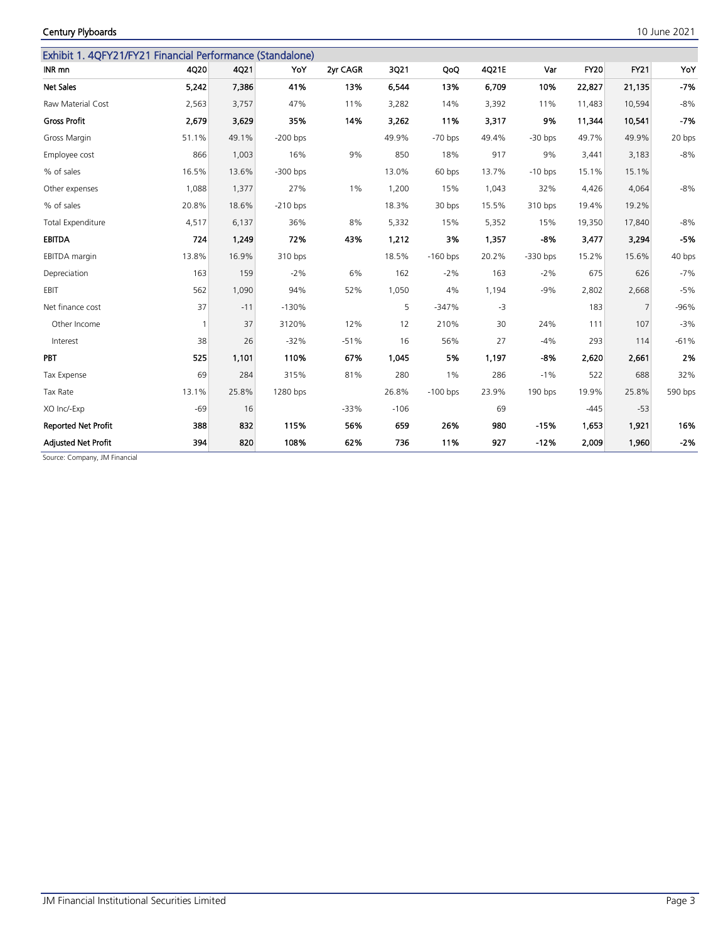Century Plyboards 10 June 2021

| Exhibit 1. 4QFY21/FY21 Financial Performance (Standalone) |              |       |            |          |        |            |       |            |             |        |         |
|-----------------------------------------------------------|--------------|-------|------------|----------|--------|------------|-------|------------|-------------|--------|---------|
| INR mn                                                    | 4Q20         | 4Q21  | YoY        | 2yr CAGR | 3Q21   | QoQ        | 4Q21E | Var        | <b>FY20</b> | FY21   | YoY     |
| <b>Net Sales</b>                                          | 5,242        | 7,386 | 41%        | 13%      | 6,544  | 13%        | 6,709 | 10%        | 22,827      | 21,135 | -7%     |
| Raw Material Cost                                         | 2,563        | 3,757 | 47%        | 11%      | 3,282  | 14%        | 3,392 | 11%        | 11,483      | 10,594 | $-8%$   |
| <b>Gross Profit</b>                                       | 2,679        | 3,629 | 35%        | 14%      | 3,262  | 11%        | 3,317 | 9%         | 11,344      | 10,541 | $-7%$   |
| Gross Margin                                              | 51.1%        | 49.1% | $-200$ bps |          | 49.9%  | $-70$ bps  | 49.4% | $-30$ bps  | 49.7%       | 49.9%  | 20 bps  |
| Employee cost                                             | 866          | 1,003 | 16%        | 9%       | 850    | 18%        | 917   | 9%         | 3,441       | 3,183  | $-8%$   |
| % of sales                                                | 16.5%        | 13.6% | $-300$ bps |          | 13.0%  | 60 bps     | 13.7% | $-10$ bps  | 15.1%       | 15.1%  |         |
| Other expenses                                            | 1,088        | 1,377 | 27%        | 1%       | 1,200  | 15%        | 1,043 | 32%        | 4,426       | 4,064  | $-8%$   |
| % of sales                                                | 20.8%        | 18.6% | $-210$ bps |          | 18.3%  | 30 bps     | 15.5% | 310 bps    | 19.4%       | 19.2%  |         |
| Total Expenditure                                         | 4,517        | 6,137 | 36%        | 8%       | 5,332  | 15%        | 5,352 | 15%        | 19,350      | 17,840 | $-8%$   |
| <b>EBITDA</b>                                             | 724          | 1,249 | 72%        | 43%      | 1,212  | 3%         | 1,357 | -8%        | 3,477       | 3,294  | $-5%$   |
| EBITDA margin                                             | 13.8%        | 16.9% | 310 bps    |          | 18.5%  | $-160$ bps | 20.2% | $-330$ bps | 15.2%       | 15.6%  | 40 bps  |
| Depreciation                                              | 163          | 159   | $-2%$      | 6%       | 162    | $-2%$      | 163   | $-2%$      | 675         | 626    | $-7%$   |
| EBIT                                                      | 562          | 1,090 | 94%        | 52%      | 1,050  | 4%         | 1,194 | $-9%$      | 2,802       | 2,668  | $-5%$   |
| Net finance cost                                          | 37           | $-11$ | $-130%$    |          | 5      | $-347%$    | $-3$  |            | 183         | 7      | $-96%$  |
| Other Income                                              | $\mathbf{1}$ | 37    | 3120%      | 12%      | 12     | 210%       | 30    | 24%        | 111         | 107    | $-3%$   |
| Interest                                                  | 38           | 26    | $-32%$     | $-51%$   | 16     | 56%        | 27    | $-4%$      | 293         | 114    | $-61%$  |
| PBT                                                       | 525          | 1,101 | 110%       | 67%      | 1,045  | 5%         | 1,197 | $-8%$      | 2,620       | 2,661  | 2%      |
| Tax Expense                                               | 69           | 284   | 315%       | 81%      | 280    | $1\%$      | 286   | $-1%$      | 522         | 688    | 32%     |
| Tax Rate                                                  | 13.1%        | 25.8% | 1280 bps   |          | 26.8%  | $-100$ bps | 23.9% | 190 bps    | 19.9%       | 25.8%  | 590 bps |
| XO Inc/-Exp                                               | $-69$        | 16    |            | $-33%$   | $-106$ |            | 69    |            | $-445$      | $-53$  |         |
| <b>Reported Net Profit</b>                                | 388          | 832   | 115%       | 56%      | 659    | 26%        | 980   | $-15%$     | 1,653       | 1,921  | 16%     |
| <b>Adjusted Net Profit</b>                                | 394          | 820   | 108%       | 62%      | 736    | 11%        | 927   | $-12%$     | 2,009       | 1,960  | $-2%$   |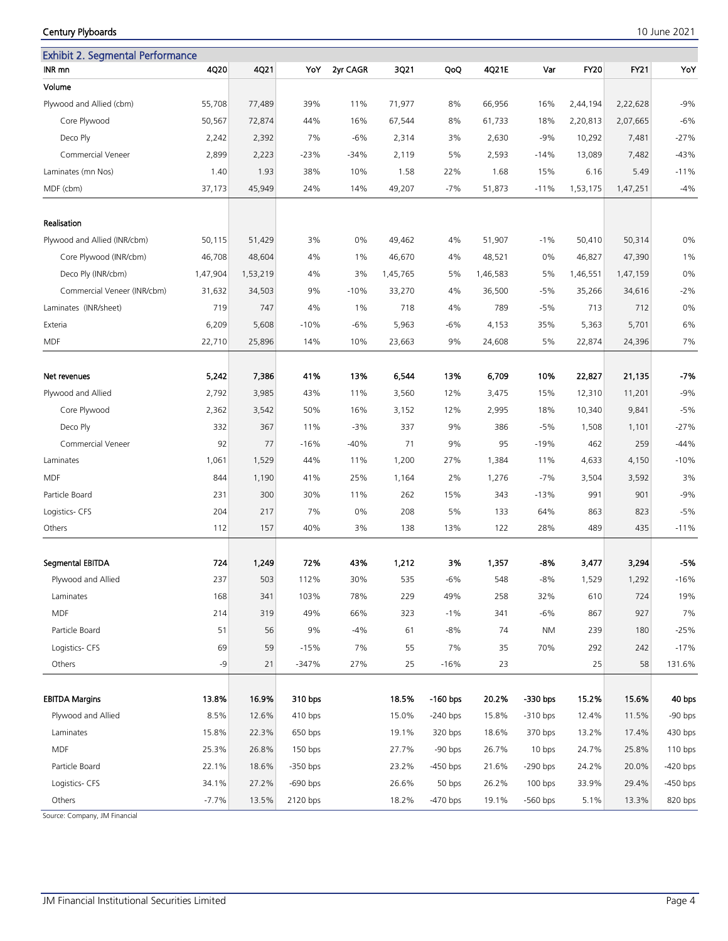| <b>Exhibit 2. Segmental Performance</b> |          |          |            |          |          |            |          |            |             |          |            |
|-----------------------------------------|----------|----------|------------|----------|----------|------------|----------|------------|-------------|----------|------------|
| INR mn                                  | 4Q20     | 4Q21     | YoY        | 2yr CAGR | 3Q21     | QoQ        | 4Q21E    | Var        | <b>FY20</b> | FY21     | YoY        |
| Volume                                  |          |          |            |          |          |            |          |            |             |          |            |
| Plywood and Allied (cbm)                | 55,708   | 77,489   | 39%        | 11%      | 71,977   | 8%         | 66,956   | 16%        | 2,44,194    | 2,22,628 | $-9%$      |
| Core Plywood                            | 50,567   | 72,874   | 44%        | 16%      | 67,544   | 8%         | 61,733   | 18%        | 2,20,813    | 2,07,665 | $-6%$      |
| Deco Ply                                | 2,242    | 2,392    | 7%         | $-6%$    | 2,314    | 3%         | 2,630    | $-9%$      | 10,292      | 7,481    | $-27%$     |
| Commercial Veneer                       | 2,899    | 2,223    | $-23%$     | -34%     | 2,119    | 5%         | 2,593    | $-14%$     | 13,089      | 7,482    | $-43%$     |
| Laminates (mn Nos)                      | 1.40     | 1.93     | 38%        | 10%      | 1.58     | 22%        | 1.68     | 15%        | 6.16        | 5.49     | $-11%$     |
| MDF (cbm)                               | 37,173   | 45,949   | 24%        | 14%      | 49,207   | $-7%$      | 51,873   | $-11%$     | 1,53,175    | 1,47,251 | $-4%$      |
|                                         |          |          |            |          |          |            |          |            |             |          |            |
| Realisation                             |          |          |            |          |          |            |          |            |             |          |            |
| Plywood and Allied (INR/cbm)            | 50,115   | 51,429   | 3%         | 0%       | 49,462   | 4%         | 51,907   | $-1%$      | 50,410      | 50,314   | 0%         |
| Core Plywood (INR/cbm)                  | 46,708   | 48,604   | 4%         | $1\%$    | 46,670   | 4%         | 48,521   | 0%         | 46,827      | 47,390   | 1%         |
| Deco Ply (INR/cbm)                      | 1,47,904 | 1,53,219 | 4%         | 3%       | 1,45,765 | 5%         | 1,46,583 | 5%         | 1,46,551    | 1,47,159 | 0%         |
| Commercial Veneer (INR/cbm)             | 31,632   | 34,503   | 9%         | $-10%$   | 33,270   | 4%         | 36,500   | $-5%$      | 35,266      | 34,616   | $-2%$      |
| Laminates (INR/sheet)                   | 719      | 747      | 4%         | $1\%$    | 718      | 4%         | 789      | $-5%$      | 713         | 712      | 0%         |
| Exteria                                 | 6,209    | 5,608    | $-10%$     | $-6%$    | 5,963    | $-6%$      | 4,153    | 35%        | 5,363       | 5,701    | 6%         |
| <b>MDF</b>                              | 22,710   | 25,896   | 14%        | 10%      | 23,663   | 9%         | 24,608   | 5%         | 22,874      | 24,396   | 7%         |
|                                         |          |          |            |          |          |            |          |            |             |          |            |
| Net revenues                            | 5,242    | 7,386    | 41%        | 13%      | 6,544    | 13%        | 6,709    | 10%        | 22,827      | 21,135   | -7%        |
| Plywood and Allied                      | 2,792    | 3,985    | 43%        | 11%      | 3,560    | 12%        | 3,475    | 15%        | 12,310      | 11,201   | $-9%$      |
| Core Plywood                            | 2,362    | 3,542    | 50%        | 16%      | 3,152    | 12%        | 2,995    | 18%        | 10,340      | 9,841    | $-5%$      |
| Deco Ply                                | 332      | 367      | 11%        | $-3%$    | 337      | 9%         | 386      | -5%        | 1,508       | 1,101    | $-27%$     |
| Commercial Veneer                       | 92       | 77       | $-16%$     | $-40%$   | 71       | 9%         | 95       | $-19%$     | 462         | 259      | $-44%$     |
| Laminates                               | 1,061    | 1,529    | 44%        | 11%      | 1,200    | 27%        | 1,384    | 11%        | 4,633       | 4,150    | $-10%$     |
| MDF                                     | 844      | 1,190    | 41%        | 25%      | 1,164    | 2%         | 1,276    | $-7%$      | 3,504       | 3,592    | 3%         |
| Particle Board                          | 231      | 300      | 30%        | 11%      | 262      | 15%        | 343      | $-13%$     | 991         | 901      | $-9%$      |
| Logistics- CFS                          | 204      | 217      | 7%         | 0%       | 208      | 5%         | 133      | 64%        | 863         | 823      | $-5%$      |
| Others                                  | 112      | 157      | 40%        | 3%       | 138      | 13%        | 122      | 28%        | 489         | 435      | $-11%$     |
| Segmental EBITDA                        | 724      | 1,249    | 72%        | 43%      | 1,212    | 3%         | 1,357    | -8%        | 3,477       | 3,294    | -5%        |
| Plywood and Allied                      | 237      | 503      | 112%       | 30%      | 535      | $-6%$      | 548      | -8%        | 1,529       | 1,292    | $-16%$     |
| Laminates                               | 168      | 341      | 103%       | 78%      | 229      | 49%        | 258      | 32%        | 610         | 724      | 19%        |
| <b>MDF</b>                              | 214      | 319      | 49%        | 66%      | 323      | $-1%$      | 341      | $-6%$      | 867         | 927      | $7\%$      |
| Particle Board                          | 51       | 56       | 9%         | -4%      | 61       | $-8%$      | 74       | <b>NM</b>  | 239         | 180      | $-25%$     |
| Logistics- CFS                          | 69       | 59       | $-15%$     | 7%       | 55       | 7%         | 35       | 70%        | 292         | 242      | $-17%$     |
| Others                                  | -9       | 21       | $-347%$    | 27%      | 25       | $-16%$     | 23       |            | 25          | 58       | 131.6%     |
|                                         |          |          |            |          |          |            |          |            |             |          |            |
| <b>EBITDA Margins</b>                   | 13.8%    | 16.9%    | 310 bps    |          | 18.5%    | $-160$ bps | 20.2%    | -330 bps   | 15.2%       | 15.6%    | 40 bps     |
| Plywood and Allied                      | 8.5%     | 12.6%    | 410 bps    |          | 15.0%    | $-240$ bps | 15.8%    | -310 bps   | 12.4%       | 11.5%    | $-90$ bps  |
| Laminates                               | 15.8%    | 22.3%    | 650 bps    |          | 19.1%    | 320 bps    | 18.6%    | 370 bps    | 13.2%       | 17.4%    | 430 bps    |
| <b>MDF</b>                              | 25.3%    | 26.8%    | 150 bps    |          | 27.7%    | $-90$ bps  | 26.7%    | 10 bps     | 24.7%       | 25.8%    | 110 bps    |
| Particle Board                          | 22.1%    | 18.6%    | -350 bps   |          | 23.2%    | $-450$ bps | 21.6%    | $-290$ bps | 24.2%       | 20.0%    | $-420$ bps |
| Logistics- CFS                          | 34.1%    | 27.2%    | $-690$ bps |          | 26.6%    | 50 bps     | 26.2%    | 100 bps    | 33.9%       | 29.4%    | $-450$ bps |
| Others                                  | $-7.7%$  | 13.5%    | 2120 bps   |          | 18.2%    | $-470$ bps | 19.1%    | -560 bps   | 5.1%        | 13.3%    | 820 bps    |

Century Plyboards 10 June 2021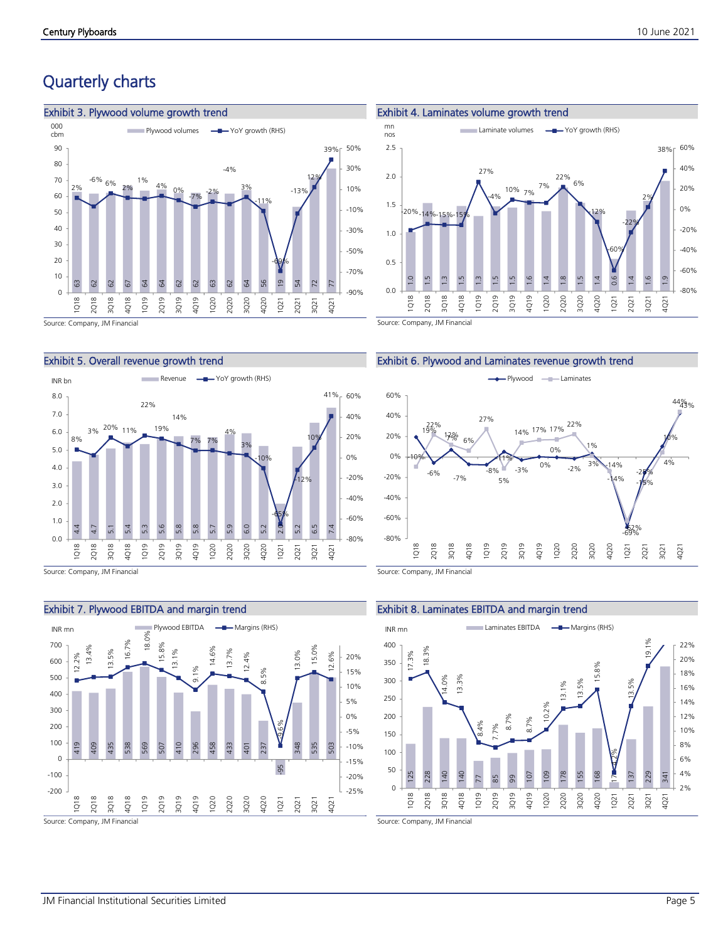# Quarterly charts



#### Exhibit 5. Overall revenue growth trend



Source: Company, JM Financial



#### Exhibit 7. Plywood EBITDA and margin trend

Source: Company, JM Financial



Source: Company, JM Financial

#### Exhibit 6. Plywood and Laminates revenue growth trend



Source: Company, JM Financial

#### Exhibit 8. Laminates EBITDA and margin trend



#### JM Financial Institutional Securities Limited Page 5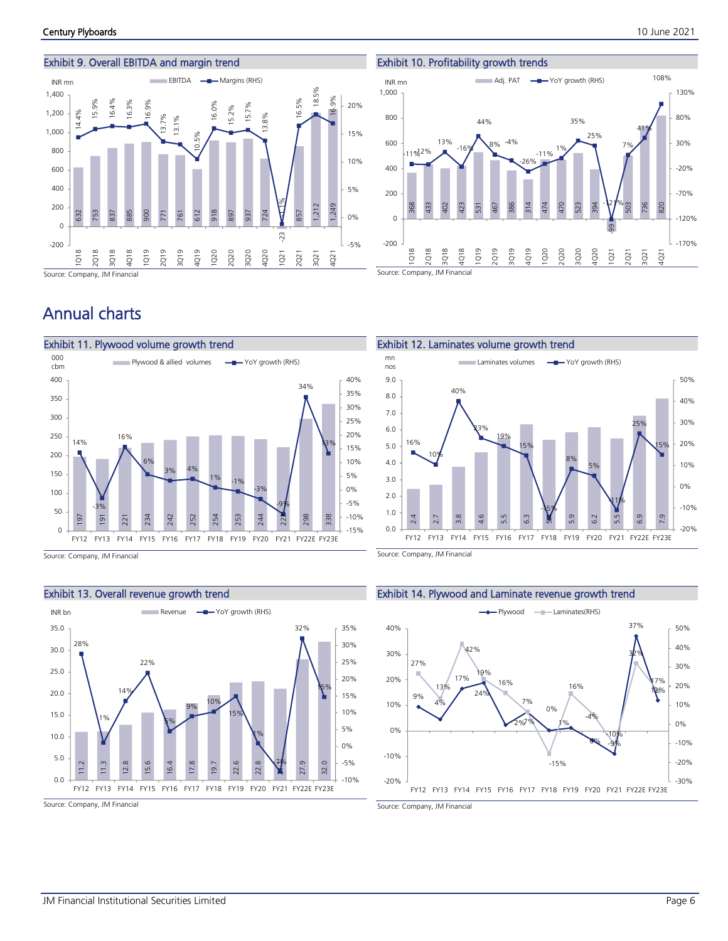

Exhibit 10. Profitability growth trends



Source: Company, JM Financial

# Annual charts



Source: Company, JM Financial



#### Exhibit 13. Overall revenue growth trend

Source: Company, JM Financial

Exhibit 12. Laminates volume growth trend Source: Company, JM Financial  $\frac{4}{1}$ 2.7 ∞.<br>ო  $\frac{6}{4}$ .<br>5.<br>5.  $\frac{1}{3}$  $\frac{N}{2}$  $\frac{9}{2}$  $\frac{2}{10}$ .<br>5.<br>5. თ.<br>სი ິ $\frac{5}{2}$ 16% 10%  $10%$ 23% 19% 15% -15% 8% 5%  $1\%$ 25% 15% -20% -10% 0% 10% 20% 30% 40% 50% 0.0 1.0 2.0 3.0 4.0 5.0 6.0 7.0 8.0 9.0 FY12 FY13 FY14 FY15 FY16 FY17 FY18 FY19 FY20 FY21 FY22E FY23E  $mn$ <br>Laminates volumes  $\leftarrow$  YoY growth (RHS) nos

### Exhibit 14. Plywood and Laminate revenue growth trend



Source: Company, JM Financial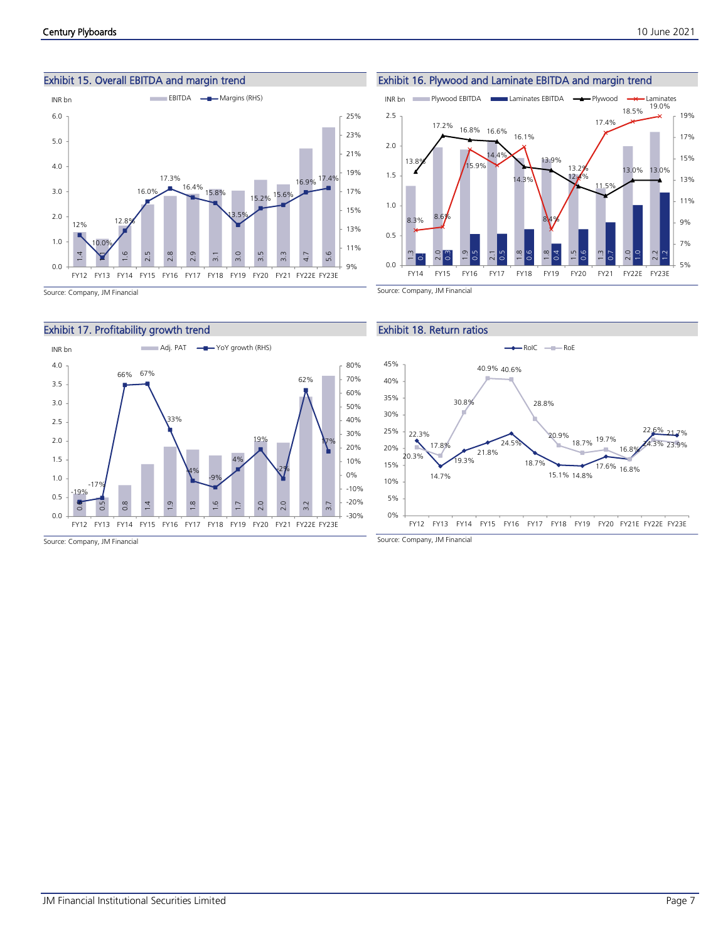





Source: Company, JM Financial



Source: Company, JM Financial



Source: Company, JM Financial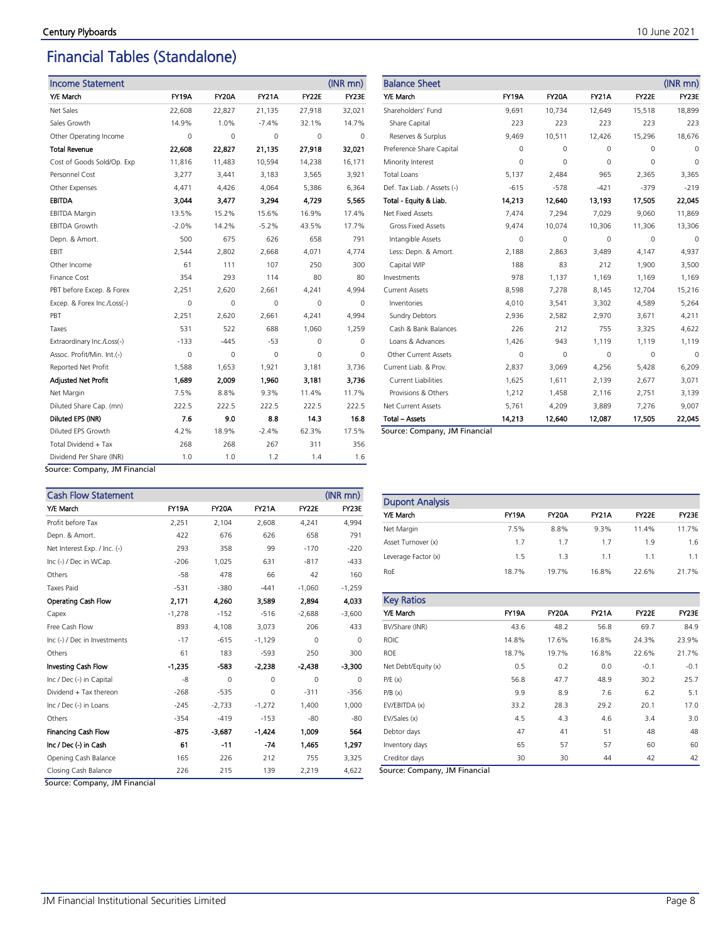# Financial Tables (Standalone)

| <b>Income Statement</b>                   |              |              |              |          | (INR mn) |
|-------------------------------------------|--------------|--------------|--------------|----------|----------|
| Y/E March                                 | <b>FY19A</b> | <b>FY20A</b> | <b>FY21A</b> | FY22E    | FY23E    |
| Net Sales                                 | 22,608       | 22,827       | 21,135       | 27,918   | 32,021   |
| Sales Growth                              | 14.9%        | 1.0%         | $-7.4%$      | 32.1%    | 14.7%    |
| Other Operating Income                    | 0            | 0            | $\Omega$     | $\Omega$ | 0        |
| <b>Total Revenue</b>                      | 22,608       | 22.827       | 21,135       | 27.918   | 32,021   |
| Cost of Goods Sold/Op. Exp                | 11,816       | 11,483       | 10,594       | 14,238   | 16,171   |
| Personnel Cost                            | 3,277        | 3,441        | 3,183        | 3,565    | 3,921    |
| Other Expenses                            | 4,471        | 4,426        | 4,064        | 5,386    | 6,364    |
| <b>EBITDA</b>                             | 3.044        | 3,477        | 3.294        | 4,729    | 5.565    |
| <b>EBITDA Margin</b>                      | 13.5%        | 15.2%        | 15.6%        | 16.9%    | 17.4%    |
| <b>EBITDA Growth</b>                      | $-2.0%$      | 14.2%        | $-5.2%$      | 43.5%    | 17.7%    |
| Depn. & Amort.                            | 500          | 675          | 626          | 658      | 791      |
| EBIT                                      | 2,544        | 2,802        | 2,668        | 4,071    | 4,774    |
| Other Income                              | 61           | 111          | 107          | 250      | 300      |
| Finance Cost                              | 354          | 293          | 114          | 80       | 80       |
| PBT before Excep. & Forex                 | 2,251        | 2,620        | 2,661        | 4,241    | 4,994    |
| Excep. & Forex Inc./Loss(-)               | 0            | 0            | 0            | $\Omega$ | 0        |
| PBT                                       | 2,251        | 2,620        | 2,661        | 4,241    | 4,994    |
| Taxes                                     | 531          | 522          | 688          | 1,060    | 1,259    |
| Extraordinary Inc./Loss(-)                | $-133$       | $-445$       | $-53$        | $\Omega$ | 0        |
| Assoc. Profit/Min. Int.(-)                | 0            | 0            | $\Omega$     | $\Omega$ | 0        |
| Reported Net Profit                       | 1,588        | 1,653        | 1,921        | 3,181    | 3,736    |
| <b>Adjusted Net Profit</b>                | 1,689        | 2,009        | 1,960        | 3,181    | 3,736    |
| Net Margin                                | 7.5%         | 8.8%         | 9.3%         | 11.4%    | 11.7%    |
| Diluted Share Cap. (mn)                   | 222.5        | 222.5        | 222.5        | 222.5    | 222.5    |
| Diluted EPS (INR)                         | 7.6          | 9.0          | 8.8          | 14.3     | 16.8     |
| Diluted EPS Growth                        | 4.2%         | 18.9%        | $-2.4%$      | 62.3%    | 17.5%    |
| Total Dividend + Tax                      | 268          | 268          | 267          | 311      | 356      |
| Dividend Per Share (INR)<br><b>IBA F:</b> | 1.0          | 1.0          | 1.2          | 1.4      | 1.6      |

| <b>Balance Sheet</b>        |              |              |              |          | $(INR$ mn $)$ |
|-----------------------------|--------------|--------------|--------------|----------|---------------|
| Y/E March                   | <b>FY19A</b> | <b>FY20A</b> | <b>FY21A</b> | FY22E    | FY23E         |
| Shareholders' Fund          | 9,691        | 10,734       | 12,649       | 15,518   | 18,899        |
| Share Capital               | 223          | 223          | 223          | 223      | 223           |
| Reserves & Surplus          | 9,469        | 10,511       | 12,426       | 15,296   | 18,676        |
| Preference Share Capital    | 0            | 0            | $\Omega$     | 0        | 0             |
| Minority Interest           | $\Omega$     | 0            | $\Omega$     | $\Omega$ | $\Omega$      |
| <b>Total Loans</b>          | 5,137        | 2,484        | 965          | 2,365    | 3,365         |
| Def. Tax Liab. / Assets (-) | $-615$       | $-578$       | $-421$       | $-379$   | $-219$        |
| Total - Equity & Liab.      | 14.213       | 12,640       | 13.193       | 17,505   | 22,045        |
| Net Fixed Assets            | 7,474        | 7,294        | 7,029        | 9,060    | 11,869        |
| <b>Gross Fixed Assets</b>   | 9,474        | 10,074       | 10,306       | 11,306   | 13,306        |
| Intangible Assets           | $\mathbf 0$  | 0            | $\circ$      | 0        | 0             |
| Less: Depn. & Amort.        | 2,188        | 2,863        | 3,489        | 4,147    | 4,937         |
| Capital WIP                 | 188          | 83           | 212          | 1,900    | 3,500         |
| Investments                 | 978          | 1,137        | 1,169        | 1,169    | 1,169         |
| <b>Current Assets</b>       | 8,598        | 7,278        | 8,145        | 12,704   | 15,216        |
| Inventories                 | 4,010        | 3,541        | 3,302        | 4,589    | 5,264         |
| <b>Sundry Debtors</b>       | 2,936        | 2,582        | 2,970        | 3,671    | 4,211         |
| Cash & Bank Balances        | 226          | 212          | 755          | 3,325    | 4,622         |
| Loans & Advances            | 1,426        | 943          | 1,119        | 1,119    | 1,119         |
| <b>Other Current Assets</b> | $\mathbf 0$  | 0            | $\Omega$     | $\Omega$ | $\Omega$      |
| Current Liab. & Prov.       | 2,837        | 3,069        | 4,256        | 5,428    | 6,209         |
| <b>Current Liabilities</b>  | 1,625        | 1,611        | 2,139        | 2,677    | 3,071         |
| Provisions & Others         | 1,212        | 1,458        | 2,116        | 2,751    | 3,139         |
| Net Current Assets          | 5,761        | 4,209        | 3,889        | 7,276    | 9,007         |
| <b>Total - Assets</b>       | 14,213       | 12,640       | 12,087       | 17,505   | 22,045        |

Source: Company, JM Financial

Source: Company, JM Financial

| <b>Cash Flow Statement</b>   |              |              |              |          | (INR mn) |
|------------------------------|--------------|--------------|--------------|----------|----------|
| Y/E March                    | <b>FY19A</b> | <b>FY20A</b> | <b>FY21A</b> | FY22E    | FY23E    |
| Profit before Tax            | 2,251        | 2,104        | 2,608        | 4,241    | 4,994    |
| Depn. & Amort.               | 422          | 676          | 626          | 658      | 791      |
| Net Interest Exp. / Inc. (-) | 293          | 358          | 99           | $-170$   | $-220$   |
| Inc (-) / Dec in WCap.       | $-206$       | 1,025        | 631          | $-817$   | $-433$   |
| Others                       | $-58$        | 478          | 66           | 42       | 160      |
| <b>Taxes Paid</b>            | $-531$       | $-380$       | $-441$       | $-1,060$ | $-1,259$ |
| Operating Cash Flow          | 2,171        | 4.260        | 3.589        | 2.894    | 4,033    |
| Capex                        | $-1,278$     | $-152$       | $-516$       | $-2,688$ | $-3,600$ |
| Free Cash Flow               | 893          | 4,108        | 3,073        | 206      | 433      |
| Inc (-) / Dec in Investments | $-17$        | $-615$       | $-1,129$     | 0        | $\Omega$ |
| Others                       | 61           | 183          | $-593$       | 250      | 300      |
| Investing Cash Flow          | $-1,235$     | -583         | $-2,238$     | $-2,438$ | $-3,300$ |
| Inc / Dec (-) in Capital     | -8           | $\Omega$     | $\Omega$     | $\Omega$ | $\Omega$ |
| Dividend + Tax thereon       | $-268$       | $-535$       | $\circ$      | $-311$   | $-356$   |
| Inc / Dec (-) in Loans       | $-245$       | $-2,733$     | $-1,272$     | 1,400    | 1,000    |
| Others                       | $-354$       | $-419$       | $-153$       | $-80$    | $-80$    |
| <b>Financing Cash Flow</b>   | -875         | $-3.687$     | $-1.424$     | 1,009    | 564      |
| Inc / Dec (-) in Cash        | 61           | $-11$        | $-74$        | 1.465    | 1,297    |
| Opening Cash Balance         | 165          | 226          | 212          | 755      | 3,325    |
| Closing Cash Balance         | 226          | 215          | 139          | 2,219    | 4,622    |

| <b>Dupont Analysis</b> |              |              |              |       |              |
|------------------------|--------------|--------------|--------------|-------|--------------|
| Y/E March              | <b>FY19A</b> | <b>FY20A</b> | <b>FY21A</b> | FY22E | <b>FY23E</b> |
| Net Margin             | 7.5%         | 8.8%         | 9.3%         | 11.4% | 11.7%        |
| Asset Turnover (x)     | 1.7          | 1.7          | 17           | 1.9   | 1.6          |
| Leverage Factor (x)    | 1.5          | 1.3          | 11           | 1.1   | 1.1          |
| RoE                    | 18.7%        | 19.7%        | 16.8%        | 22.6% | 21.7%        |

| <b>Key Ratios</b>   |              |       |              |        |              |
|---------------------|--------------|-------|--------------|--------|--------------|
| Y/E March           | <b>FY19A</b> | FY20A | <b>FY21A</b> | FY22E  | <b>FY23E</b> |
| BV/Share (INR)      | 43.6         | 48.2  | 56.8         | 69.7   | 84.9         |
| <b>ROIC</b>         | 14.8%        | 17.6% | 16.8%        | 24.3%  | 23.9%        |
| <b>ROE</b>          | 18.7%        | 19.7% | 16.8%        | 22.6%  | 21.7%        |
| Net Debt/Equity (x) | 0.5          | 0.2   | 0.0          | $-0.1$ | $-0.1$       |
| P/E(x)              | 56.8         | 47.7  | 48.9         | 30.2   | 25.7         |
| P/B(x)              | 9.9          | 8.9   | 7.6          | 6.2    | 5.1          |
| EV/EBITDA (x)       | 33.2         | 28.3  | 29.2         | 20.1   | 17.0         |
| EV/Sales (x)        | 4.5          | 4.3   | 4.6          | 3.4    | 3.0          |
| Debtor days         | 47           | 41    | 51           | 48     | 48           |
| Inventory days      | 65           | 57    | 57           | 60     | 60           |
| Creditor days       | 30           | 30    | 44           | 42     | 42           |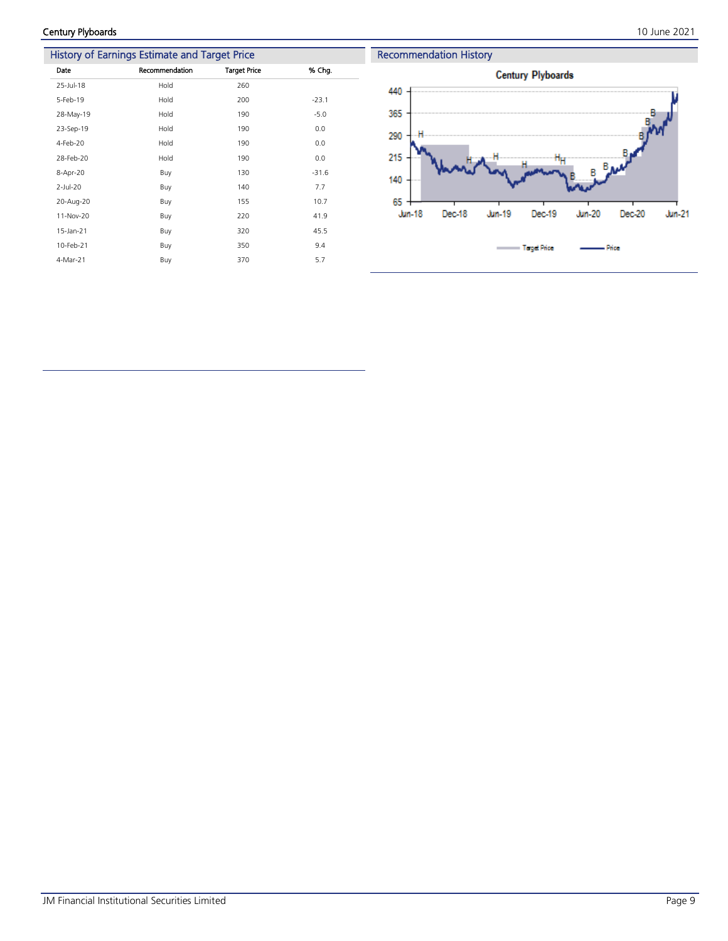| $\sim$<br>×<br>of the |  |
|-----------------------|--|
|                       |  |

| mstory or carrillings estimate and Target Frice. |                |                     |         |  |  |  |  |  |
|--------------------------------------------------|----------------|---------------------|---------|--|--|--|--|--|
| Date                                             | Recommendation | <b>Target Price</b> | % Chg.  |  |  |  |  |  |
| 25-Jul-18                                        | Hold           | 260                 |         |  |  |  |  |  |
| 5-Feb-19                                         | Hold           | 200                 | $-23.1$ |  |  |  |  |  |
| 28-May-19                                        | Hold           | 190                 | $-5.0$  |  |  |  |  |  |
| 23-Sep-19                                        | Hold           | 190                 | 0.0     |  |  |  |  |  |
| 4-Feb-20                                         | Hold           | 190                 | 0.0     |  |  |  |  |  |
| 28-Feb-20                                        | Hold           | 190                 | 0.0     |  |  |  |  |  |
| 8-Apr-20                                         | Buy            | 130                 | $-31.6$ |  |  |  |  |  |
| $2$ -Jul-20                                      | Buy            | 140                 | 7.7     |  |  |  |  |  |
| 20-Aug-20                                        | Buy            | 155                 | 10.7    |  |  |  |  |  |
| 11-Nov-20                                        | Buy            | 220                 | 41.9    |  |  |  |  |  |
| 15-Jan-21                                        | Buy            | 320                 | 45.5    |  |  |  |  |  |
| 10-Feb-21                                        | Buy            | 350                 | 9.4     |  |  |  |  |  |
| 4-Mar-21                                         | Buy            | 370                 | 5.7     |  |  |  |  |  |

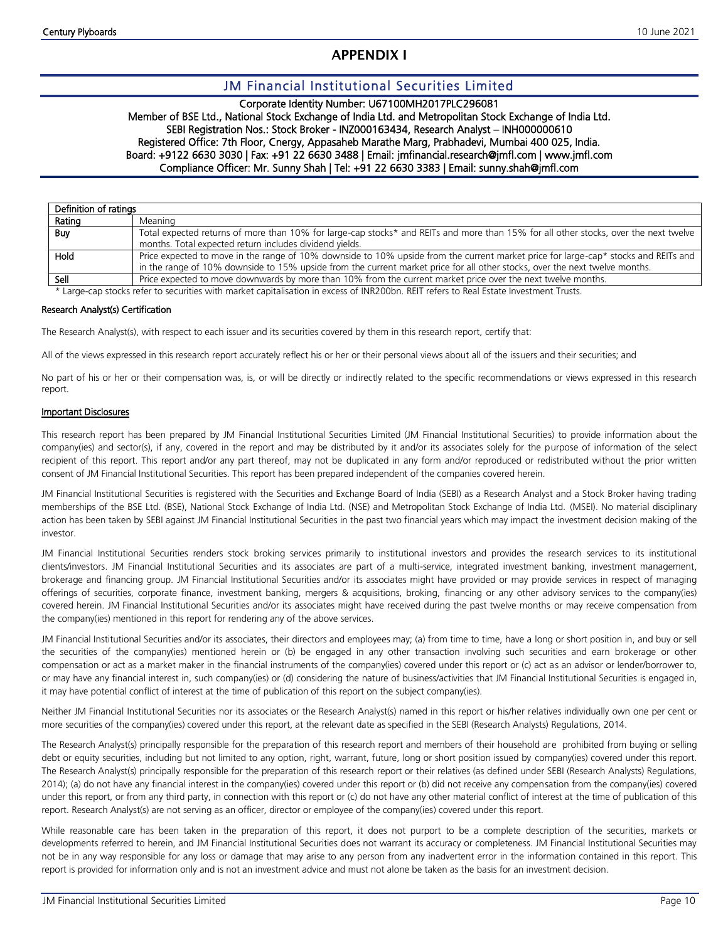### **APPENDIX I**

### JM Financial Institutional Securities Limited

#### Corporate Identity Number: U67100MH2017PLC296081

Member of BSE Ltd., National Stock Exchange of India Ltd. and Metropolitan Stock Exchange of India Ltd. SEBI Registration Nos.: Stock Broker - INZ000163434, Research Analyst – INH000000610 Registered Office: 7th Floor, Cnergy, Appasaheb Marathe Marg, Prabhadevi, Mumbai 400 025, India. Board: +9122 6630 3030 | Fax: +91 22 6630 3488 | Email: jmfinancial.research@jmfl.com | www.jmfl.com Compliance Officer: Mr. Sunny Shah | Tel: +91 22 6630 3383 | Email: sunny.shah@jmfl.com

| Definition of ratings |                                                                                                                                      |
|-----------------------|--------------------------------------------------------------------------------------------------------------------------------------|
| Rating                | Meaning                                                                                                                              |
| Buy                   | Total expected returns of more than 10% for large-cap stocks* and REITs and more than 15% for all other stocks, over the next twelve |
|                       | months. Total expected return includes dividend yields.                                                                              |
| Hold                  | Price expected to move in the range of 10% downside to 10% upside from the current market price for large-cap* stocks and REITs and  |
|                       | in the range of 10% downside to 15% upside from the current market price for all other stocks, over the next twelve months.          |
| Sell                  | Price expected to move downwards by more than 10% from the current market price over the next twelve months.                         |

\* Large-cap stocks refer to securities with market capitalisation in excess of INR200bn. REIT refers to Real Estate Investment Trusts.

#### Research Analyst(s) Certification

The Research Analyst(s), with respect to each issuer and its securities covered by them in this research report, certify that:

All of the views expressed in this research report accurately reflect his or her or their personal views about all of the issuers and their securities; and

No part of his or her or their compensation was, is, or will be directly or indirectly related to the specific recommendations or views expressed in this research report.

#### Important Disclosures

This research report has been prepared by JM Financial Institutional Securities Limited (JM Financial Institutional Securities) to provide information about the company(ies) and sector(s), if any, covered in the report and may be distributed by it and/or its associates solely for the purpose of information of the select recipient of this report. This report and/or any part thereof, may not be duplicated in any form and/or reproduced or redistributed without the prior written consent of JM Financial Institutional Securities. This report has been prepared independent of the companies covered herein.

JM Financial Institutional Securities is registered with the Securities and Exchange Board of India (SEBI) as a Research Analyst and a Stock Broker having trading memberships of the BSE Ltd. (BSE), National Stock Exchange of India Ltd. (NSE) and Metropolitan Stock Exchange of India Ltd. (MSEI). No material disciplinary action has been taken by SEBI against JM Financial Institutional Securities in the past two financial years which may impact the investment decision making of the investor.

JM Financial Institutional Securities renders stock broking services primarily to institutional investors and provides the research services to its institutional clients/investors. JM Financial Institutional Securities and its associates are part of a multi-service, integrated investment banking, investment management, brokerage and financing group. JM Financial Institutional Securities and/or its associates might have provided or may provide services in respect of managing offerings of securities, corporate finance, investment banking, mergers & acquisitions, broking, financing or any other advisory services to the company(ies) covered herein. JM Financial Institutional Securities and/or its associates might have received during the past twelve months or may receive compensation from the company(ies) mentioned in this report for rendering any of the above services.

JM Financial Institutional Securities and/or its associates, their directors and employees may; (a) from time to time, have a long or short position in, and buy or sell the securities of the company(ies) mentioned herein or (b) be engaged in any other transaction involving such securities and earn brokerage or other compensation or act as a market maker in the financial instruments of the company(ies) covered under this report or (c) act as an advisor or lender/borrower to, or may have any financial interest in, such company(ies) or (d) considering the nature of business/activities that JM Financial Institutional Securities is engaged in, it may have potential conflict of interest at the time of publication of this report on the subject company(ies).

Neither JM Financial Institutional Securities nor its associates or the Research Analyst(s) named in this report or his/her relatives individually own one per cent or more securities of the company(ies) covered under this report, at the relevant date as specified in the SEBI (Research Analysts) Regulations, 2014.

The Research Analyst(s) principally responsible for the preparation of this research report and members of their household are prohibited from buying or selling debt or equity securities, including but not limited to any option, right, warrant, future, long or short position issued by company(ies) covered under this report. The Research Analyst(s) principally responsible for the preparation of this research report or their relatives (as defined under SEBI (Research Analysts) Regulations, 2014); (a) do not have any financial interest in the company(ies) covered under this report or (b) did not receive any compensation from the company(ies) covered under this report, or from any third party, in connection with this report or (c) do not have any other material conflict of interest at the time of publication of this report. Research Analyst(s) are not serving as an officer, director or employee of the company(ies) covered under this report.

While reasonable care has been taken in the preparation of this report, it does not purport to be a complete description of the securities, markets or developments referred to herein, and JM Financial Institutional Securities does not warrant its accuracy or completeness. JM Financial Institutional Securities may not be in any way responsible for any loss or damage that may arise to any person from any inadvertent error in the information contained in this report. This report is provided for information only and is not an investment advice and must not alone be taken as the basis for an investment decision.